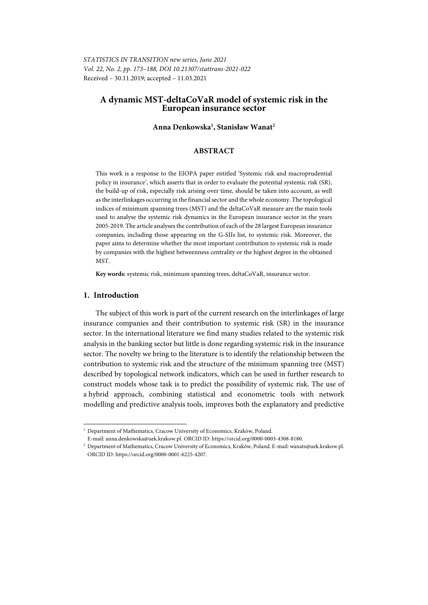# **A dynamic MST-deltaCoVaR model of systemic risk in the European insurance sector**

## **Anna Denkowska1 , Stanisław Wanat2**

## **ABSTRACT**

This work is a response to the EIOPA paper entitled 'Systemic risk and macroprudential policy in insurance', which asserts that in order to evaluate the potential systemic risk (SR), the build-up of risk, especially risk arising over time, should be taken into account, as well as the interlinkages occurring in the financial sector and the whole economy. The topological indices of minimum spanning trees (MST) and the deltaCoVaR measure are the main tools used to analyse the systemic risk dynamics in the European insurance sector in the years 2005-2019. The article analyses the contribution of each of the 28 largest European insurance companies, including those appearing on the G-SIIs list, to systemic risk. Moreover, the paper aims to determine whether the most important contribution to systemic risk is made by companies with the highest betweenness centrality or the highest degree in the obtained MST.

**Key words:** systemic risk, minimum spanning trees, deltaCoVaR, insurance sector.

## **1. Introduction**

l

The subject of this work is part of the current research on the interlinkages of large insurance companies and their contribution to systemic risk (SR) in the insurance sector. In the international literature we find many studies related to the systemic risk analysis in the banking sector but little is done regarding systemic risk in the insurance sector. The novelty we bring to the literature is to identify the relationship between the contribution to systemic risk and the structure of the minimum spanning tree (MST) described by topological network indicators, which can be used in further research to construct models whose task is to predict the possibility of systemic risk. The use of a hybrid approach, combining statistical and econometric tools with network modelling and predictive analysis tools, improves both the explanatory and predictive

<sup>&</sup>lt;sup>1</sup> Department of Mathematics, Cracow University of Economics, Kraków, Poland.

E-mail: anna.denkowska@uek.krakow.pl. ORCID ID: https://orcid.org/0000-0003-4308-8180. 2

<sup>&</sup>lt;sup>2</sup> Department of Mathematics, Cracow University of Economics, Kraków, Poland. E-mail: wanats@uek.krakow.pl. ORCID ID: https://orcid.org/0000-0001-6225-4207.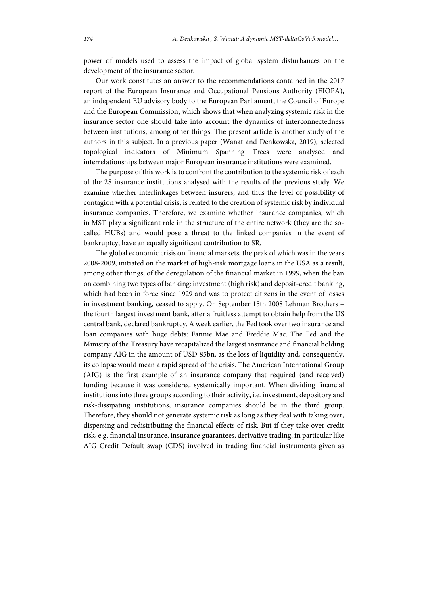power of models used to assess the impact of global system disturbances on the development of the insurance sector.

Our work constitutes an answer to the recommendations contained in the 2017 report of the European Insurance and Occupational Pensions Authority (EIOPA), an independent EU advisory body to the European Parliament, the Council of Europe and the European Commission, which shows that when analyzing systemic risk in the insurance sector one should take into account the dynamics of interconnectedness between institutions, among other things. The present article is another study of the authors in this subject. In a previous paper (Wanat and Denkowska, 2019), selected topological indicators of Minimum Spanning Trees were analysed and interrelationships between major European insurance institutions were examined.

The purpose of this work is to confront the contribution to the systemic risk of each of the 28 insurance institutions analysed with the results of the previous study. We examine whether interlinkages between insurers, and thus the level of possibility of contagion with a potential crisis, is related to the creation of systemic risk by individual insurance companies. Therefore, we examine whether insurance companies, which in MST play a significant role in the structure of the entire network (they are the socalled HUBs) and would pose a threat to the linked companies in the event of bankruptcy, have an equally significant contribution to SR.

The global economic crisis on financial markets, the peak of which was in the years 2008-2009, initiated on the market of high-risk mortgage loans in the USA as a result, among other things, of the deregulation of the financial market in 1999, when the ban on combining two types of banking: investment (high risk) and deposit-credit banking, which had been in force since 1929 and was to protect citizens in the event of losses in investment banking, ceased to apply. On September 15th 2008 Lehman Brothers – the fourth largest investment bank, after a fruitless attempt to obtain help from the US central bank, declared bankruptcy. A week earlier, the Fed took over two insurance and loan companies with huge debts: Fannie Mae and Freddie Mac. The Fed and the Ministry of the Treasury have recapitalized the largest insurance and financial holding company AIG in the amount of USD 85bn, as the loss of liquidity and, consequently, its collapse would mean a rapid spread of the crisis. The American International Group (AIG) is the first example of an insurance company that required (and received) funding because it was considered systemically important. When dividing financial institutions into three groups according to their activity, i.e. investment, depository and risk-dissipating institutions, insurance companies should be in the third group. Therefore, they should not generate systemic risk as long as they deal with taking over, dispersing and redistributing the financial effects of risk. But if they take over credit risk, e.g. financial insurance, insurance guarantees, derivative trading, in particular like AIG Credit Default swap (CDS) involved in trading financial instruments given as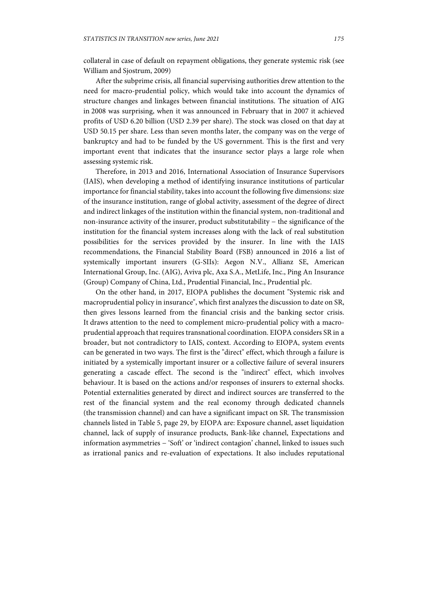collateral in case of default on repayment obligations, they generate systemic risk (see William and Sjostrum, 2009)

After the subprime crisis, all financial supervising authorities drew attention to the need for macro-prudential policy, which would take into account the dynamics of structure changes and linkages between financial institutions. The situation of AIG in 2008 was surprising, when it was announced in February that in 2007 it achieved profits of USD 6.20 billion (USD 2.39 per share). The stock was closed on that day at USD 50.15 per share. Less than seven months later, the company was on the verge of bankruptcy and had to be funded by the US government. This is the first and very important event that indicates that the insurance sector plays a large role when assessing systemic risk.

Therefore, in 2013 and 2016, International Association of Insurance Supervisors (IAIS), when developing a method of identifying insurance institutions of particular importance for financial stability, takes into account the following five dimensions: size of the insurance institution, range of global activity, assessment of the degree of direct and indirect linkages of the institution within the financial system, non-traditional and non-insurance activity of the insurer, product substitutability − the significance of the institution for the financial system increases along with the lack of real substitution possibilities for the services provided by the insurer. In line with the IAIS recommendations, the Financial Stability Board (FSB) announced in 2016 a list of systemically important insurers (G-SIIs): Aegon N.V., Allianz SE, American International Group, Inc. (AIG), Aviva plc, Axa S.A., MetLife, Inc., Ping An Insurance (Group) Company of China, Ltd., Prudential Financial, Inc., Prudential plc.

On the other hand, in 2017, EIOPA publishes the document "Systemic risk and macroprudential policy in insurance", which first analyzes the discussion to date on SR, then gives lessons learned from the financial crisis and the banking sector crisis. It draws attention to the need to complement micro-prudential policy with a macroprudential approach that requires transnational coordination. EIOPA considers SR in a broader, but not contradictory to IAIS, context. According to EIOPA, system events can be generated in two ways. The first is the "direct" effect, which through a failure is initiated by a systemically important insurer or a collective failure of several insurers generating a cascade effect. The second is the "indirect" effect, which involves behaviour. It is based on the actions and/or responses of insurers to external shocks. Potential externalities generated by direct and indirect sources are transferred to the rest of the financial system and the real economy through dedicated channels (the transmission channel) and can have a significant impact on SR. The transmission channels listed in Table 5, page 29, by EIOPA are: Exposure channel, asset liquidation channel, lack of supply of insurance products, Bank-like channel, Expectations and information asymmetries − 'Soft' or 'indirect contagion' channel, linked to issues such as irrational panics and re-evaluation of expectations. It also includes reputational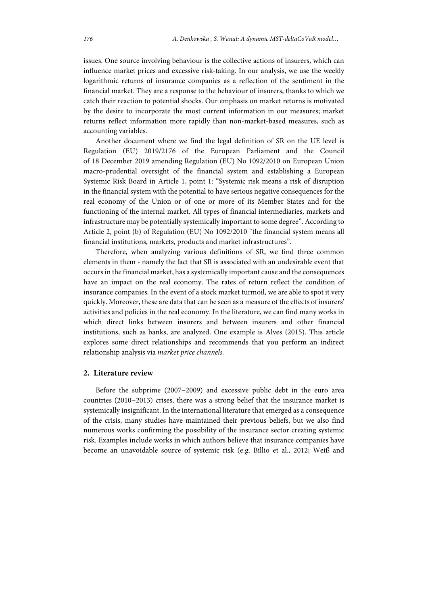issues. One source involving behaviour is the collective actions of insurers, which can influence market prices and excessive risk-taking. In our analysis, we use the weekly logarithmic returns of insurance companies as a reflection of the sentiment in the financial market. They are a response to the behaviour of insurers, thanks to which we catch their reaction to potential shocks. Our emphasis on market returns is motivated by the desire to incorporate the most current information in our measures; market returns reflect information more rapidly than non-market-based measures, such as accounting variables.

Another document where we find the legal definition of SR on the UE level is Regulation (EU) 2019/2176 of the European Parliament and the Council of 18 December 2019 amending Regulation (EU) No 1092/2010 on European Union macro-prudential oversight of the financial system and establishing a European Systemic Risk Board in Article 1, point 1: "Systemic risk means a risk of disruption in the financial system with the potential to have serious negative consequences for the real economy of the Union or of one or more of its Member States and for the functioning of the internal market. All types of financial intermediaries, markets and infrastructure may be potentially systemically important to some degree". According to Article 2, point (b) of Regulation (EU) No 1092/2010 "the financial system means all financial institutions, markets, products and market infrastructures".

Therefore, when analyzing various definitions of SR, we find three common elements in them - namely the fact that SR is associated with an undesirable event that occurs in the financial market, has a systemically important cause and the consequences have an impact on the real economy. The rates of return reflect the condition of insurance companies. In the event of a stock market turmoil, we are able to spot it very quickly. Moreover, these are data that can be seen as a measure of the effects of insurers' activities and policies in the real economy. In the literature, we can find many works in which direct links between insurers and between insurers and other financial institutions, such as banks, are analyzed. One example is Alves (2015). This article explores some direct relationships and recommends that you perform an indirect relationship analysis via *market price channels.*

## **2. Literature review**

Before the subprime (2007−2009) and excessive public debt in the euro area countries (2010−2013) crises, there was a strong belief that the insurance market is systemically insignificant. In the international literature that emerged as a consequence of the crisis, many studies have maintained their previous beliefs, but we also find numerous works confirming the possibility of the insurance sector creating systemic risk. Examples include works in which authors believe that insurance companies have become an unavoidable source of systemic risk (e.g. Billio et al., 2012; Weiß and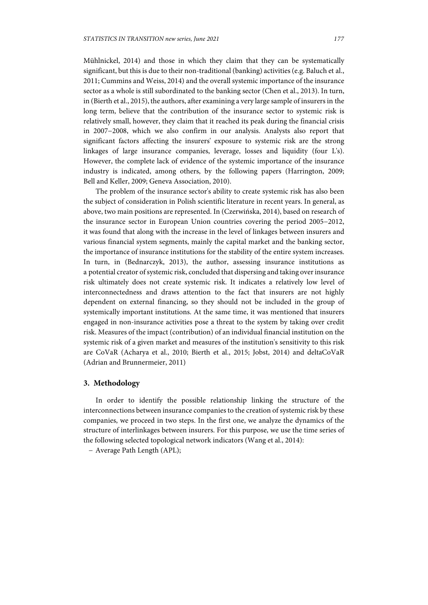Mühlnickel, 2014) and those in which they claim that they can be systematically significant, but this is due to their non-traditional (banking) activities (e.g. Baluch et al., 2011; Cummins and Weiss, 2014) and the overall systemic importance of the insurance sector as a whole is still subordinated to the banking sector (Chen et al., 2013). In turn, in (Bierth et al., 2015), the authors, after examining a very large sample of insurers in the long term, believe that the contribution of the insurance sector to systemic risk is relatively small, however, they claim that it reached its peak during the financial crisis in 2007−2008, which we also confirm in our analysis. Analysts also report that significant factors affecting the insurers' exposure to systemic risk are the strong linkages of large insurance companies, leverage, losses and liquidity (four L's). However, the complete lack of evidence of the systemic importance of the insurance industry is indicated, among others, by the following papers (Harrington, 2009; Bell and Keller, 2009; Geneva Association, 2010).

The problem of the insurance sector's ability to create systemic risk has also been the subject of consideration in Polish scientific literature in recent years. In general, as above, two main positions are represented. In (Czerwińska, 2014), based on research of the insurance sector in European Union countries covering the period 2005−2012, it was found that along with the increase in the level of linkages between insurers and various financial system segments, mainly the capital market and the banking sector, the importance of insurance institutions for the stability of the entire system increases. In turn, in (Bednarczyk, 2013), the author, assessing insurance institutions as a potential creator of systemic risk, concluded that dispersing and taking over insurance risk ultimately does not create systemic risk. It indicates a relatively low level of interconnectedness and draws attention to the fact that insurers are not highly dependent on external financing, so they should not be included in the group of systemically important institutions. At the same time, it was mentioned that insurers engaged in non-insurance activities pose a threat to the system by taking over credit risk. Measures of the impact (contribution) of an individual financial institution on the systemic risk of a given market and measures of the institution's sensitivity to this risk are CoVaR (Acharya et al., 2010; Bierth et al., 2015; Jobst, 2014) and deltaCoVaR (Adrian and Brunnermeier, 2011)

## **3. Methodology**

In order to identify the possible relationship linking the structure of the interconnections between insurance companies to the creation of systemic risk by these companies, we proceed in two steps. In the first one, we analyze the dynamics of the structure of interlinkages between insurers. For this purpose, we use the time series of the following selected topological network indicators (Wang et al., 2014):

− Average Path Length (APL);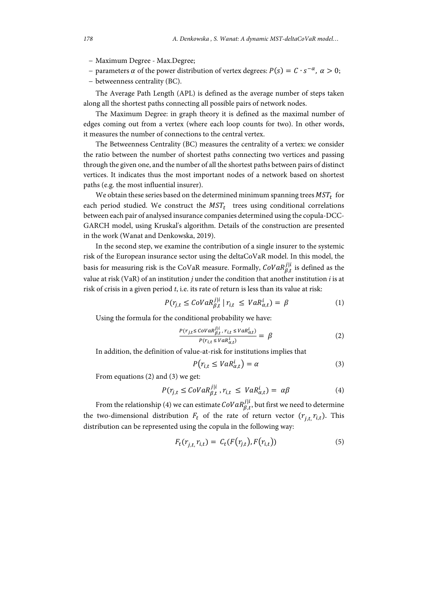- − Maximum Degree Max.Degree;
- − parameters  $\alpha$  of the power distribution of vertex degrees:  $P(s) = C \cdot s^{-\alpha}$ ,  $\alpha > 0$ ;
- − betweenness centrality (BC).

The Average Path Length (APL) is defined as the average number of steps taken along all the shortest paths connecting all possible pairs of network nodes.

The Maximum Degree: in graph theory it is defined as the maximal number of edges coming out from a vertex (where each loop counts for two). In other words, it measures the number of connections to the central vertex.

The Betweenness Centrality (BC) measures the centrality of a vertex: we consider the ratio between the number of shortest paths connecting two vertices and passing through the given one, and the number of all the shortest paths between pairs of distinct vertices. It indicates thus the most important nodes of a network based on shortest paths (e.g. the most influential insurer).

We obtain these series based on the determined minimum spanning trees  $MST_t$  for each period studied. We construct the  $MST_t$  trees using conditional correlations between each pair of analysed insurance companies determined using the copula-DCC-GARCH model, using Kruskal's algorithm. Details of the construction are presented in the work (Wanat and Denkowska, 2019).

In the second step, we examine the contribution of a single insurer to the systemic risk of the European insurance sector using the deltaCoVaR model. In this model, the basis for measuring risk is the CoVaR measure. Formally,  $\mathit{Cov} a R^{j|i}_{\beta,t}$  is defined as the value at risk (VaR) of an institution *j* under the condition that another institution *i* is at risk of crisis in a given period *t*, i.e. its rate of return is less than its value at risk:

$$
P(r_{j,t} \leq \text{Cov} a R_{\beta,t}^{j|i} \mid r_{i,t} \leq \text{VaR}_{\alpha,t}^i) = \beta \tag{1}
$$

Using the formula for the conditional probability we have:

$$
\frac{P(r_{j,t} \le cov a R_{\beta,t}^{j|i}, r_{i,t} \le v a R_{\alpha,t}^i)}{P(r_{i,t} \le v a R_{\alpha,t}^i)} = \beta \tag{2}
$$

In addition, the definition of value-at-risk for institutions implies that

$$
P(r_{i,t} \leq VaR_{\alpha,t}^i) = \alpha \tag{3}
$$

From equations (2) and (3) we get:

$$
P(r_{j,t} \leq \text{Cov} a R_{\beta,t}^{j|i}, r_{i,t} \leq \text{Va} R_{\alpha,t}^i) = \alpha \beta \tag{4}
$$

From the relationship (4) we can estimate  $\text{CoVaR}_{\beta,t}^{j|i}$  but first we need to determine the two-dimensional distribution  $F_t$  of the rate of return vector  $(r_{i,t}, r_{i,t})$ . This distribution can be represented using the copula in the following way:

$$
F_t(r_{j,t}, r_{i,t}) = C_t(F(r_{j,t}), F(r_{i,t}))
$$
\n(5)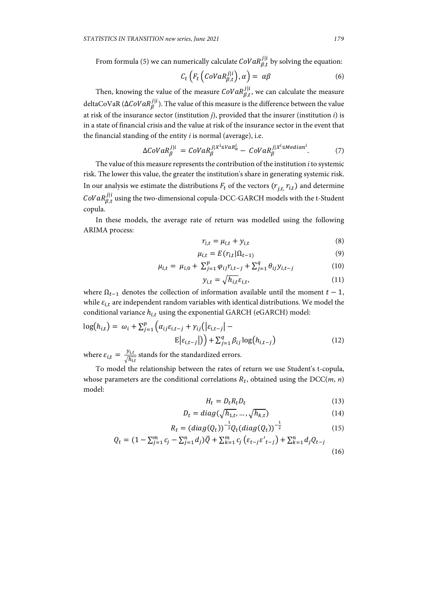From formula (5) we can numerically calculate  $\text{CoVaR}_{\beta,t}^{j|i}$  by solving the equation:

$$
C_t\left(F_t\left(CoVaR^{j|i}_{\beta,t}\right),\alpha\right)=\alpha\beta\tag{6}
$$

Then, knowing the value of the measure  $\mathit{Cov} aR^{j|i}_{\beta,t}$ , we can calculate the measure deltaCoVaR (∆C*oV* $aR^{j|i}_{\beta}$ ). The value of this measure is the difference between the value at risk of the insurance sector (institution *j*), provided that the insurer (institution *i*) is in a state of financial crisis and the value at risk of the insurance sector in the event that the financial standing of the entity *i* is normal (average), i.e.

$$
\Delta CoVaR_{\beta}^{j|i} = CoVaR_{\beta}^{j|X^{i} \leq VaR_{\alpha}^{i}} - CoVaR_{\beta}^{j|X^{i} \leq Median^{i}}.
$$
 (7)

The value of this measure represents the contribution of the institution *i* to systemic risk. The lower this value, the greater the institution's share in generating systemic risk. In our analysis we estimate the distributions  $F_t$  of the vectors  $(r_{i,t}, r_{i,t})$  and determine  $\mathit{Cov}aR^{j|i}_{\beta,t}$  using the two-dimensional copula-DCC-GARCH models with the t-Student copula.

In these models, the average rate of return was modelled using the following ARIMA process:

$$
r_{i,t} = \mu_{i,t} + y_{i,t} \tag{8}
$$

$$
\mu_{i,t} = E(r_{i,t}|\Omega_{t-1}) \tag{9}
$$

$$
\mu_{i,t} = \mu_{i,0} + \sum_{j=1}^{p} \varphi_{ij} r_{i,t-j} + \sum_{j=1}^{q} \theta_{ij} y_{i,t-j}
$$
 (10)

$$
y_{i,t} = \sqrt{h_{i,t}} \varepsilon_{i,t},\tag{11}
$$

where  $\Omega_{t-1}$  denotes the collection of information available until the moment  $t-1$ , while  $\varepsilon_{i,t}$  are independent random variables with identical distributions. We model the conditional variance  $h_{i,t}$  using the exponential GARCH (eGARCH) model:

$$
\log(h_{i,t}) = \omega_i + \sum_{j=1}^p \left( \alpha_{ij} \varepsilon_{i,t-j} + \gamma_{ij} (|\varepsilon_{i,t-j}| - E|\varepsilon_{i,t-j}|) \right) + \sum_{j=1}^q \beta_{ij} \log(h_{i,t-j}) \tag{12}
$$

where  $\varepsilon_{i,t} = \frac{y_{i,t}}{\sqrt{h_{i,t}}}$  stands for the standardized errors.

To model the relationship between the rates of return we use Student's t-copula, whose parameters are the conditional correlations  $R_t$ , obtained using the DCC( $m$ ,  $n$ ) model:

$$
H_t = D_t R_t D_t \tag{13}
$$

$$
D_t = diag(\sqrt{h_{1,t}}, \dots, \sqrt{h_{k,t}})
$$
\n(14)

$$
R_t = (diag(Q_t))^{-\frac{1}{2}} Q_t (diag(Q_t))^{-\frac{1}{2}}
$$
\n(15)

$$
Q_t = (1 - \sum_{j=1}^m c_j - \sum_{j=1}^n d_j) \bar{Q} + \sum_{k=1}^m c_j \left( \varepsilon_{t-j} \varepsilon'_{t-j} \right) + \sum_{k=1}^n d_j Q_{t-j}
$$
\n(16)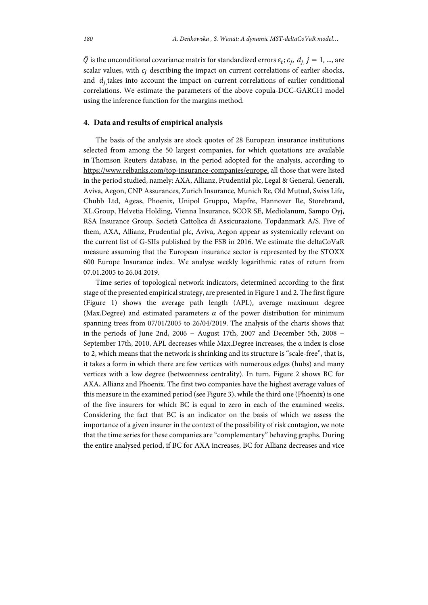$\overline{Q}$  is the unconditional covariance matrix for standardized errors  $\varepsilon_t$ ;  $c_i$ ,  $d_i$   $j = 1, ...,$  are scalar values, with  $c_i$  describing the impact on current correlations of earlier shocks, and  $d_i$  takes into account the impact on current correlations of earlier conditional correlations. We estimate the parameters of the above copula-DCC-GARCH model using the inference function for the margins method.

## **4. Data and results of empirical analysis**

The basis of the analysis are stock quotes of 28 European insurance institutions selected from among the 50 largest companies, for which quotations are available in Thomson Reuters database, in the period adopted for the analysis, according to https://www.relbanks.com/top-insurance-companies/europe, all those that were listed in the period studied, namely: AXA, Allianz, Prudential plc, Legal & General, Generali, Aviva, Aegon, CNP Assurances, Zurich Insurance, Munich Re, Old Mutual, Swiss Life, Chubb Ltd, Ageas, Phoenix, Unipol Gruppo, Mapfre, Hannover Re, Storebrand, XL.Group, Helvetia Holding, Vienna Insurance, SCOR SE, Mediolanum, Sampo Oyj, RSA Insurance Group, Società Cattolica di Assicurazione, Topdanmark A/S. Five of them, AXA, Allianz, Prudential plc, Aviva, Aegon appear as systemically relevant on the current list of G-SIIs published by the FSB in 2016. We estimate the deltaCoVaR measure assuming that the European insurance sector is represented by the STOXX 600 Europe Insurance index. We analyse weekly logarithmic rates of return from 07.01.2005 to 26.04 2019.

Time series of topological network indicators, determined according to the first stage of the presented empirical strategy, are presented in Figure 1 and 2. The first figure (Figure 1) shows the average path length (APL), average maximum degree (Max.Degree) and estimated parameters  $\alpha$  of the power distribution for minimum spanning trees from 07/01/2005 to 26/04/2019. The analysis of the charts shows that in the periods of June 2nd, 2006 − August 17th, 2007 and December 5th, 2008 − September 17th, 2010, APL decreases while Max.Degree increases, the α index is close to 2, which means that the network is shrinking and its structure is "scale-free", that is, it takes a form in which there are few vertices with numerous edges (hubs) and many vertices with a low degree (betweenness centrality). In turn, Figure 2 shows BC for AXA, Allianz and Phoenix. The first two companies have the highest average values of this measure in the examined period (see Figure 3), while the third one (Phoenix) is one of the five insurers for which BC is equal to zero in each of the examined weeks. Considering the fact that BC is an indicator on the basis of which we assess the importance of a given insurer in the context of the possibility of risk contagion, we note that the time series for these companies are "complementary" behaving graphs. During the entire analysed period, if BC for AXA increases, BC for Allianz decreases and vice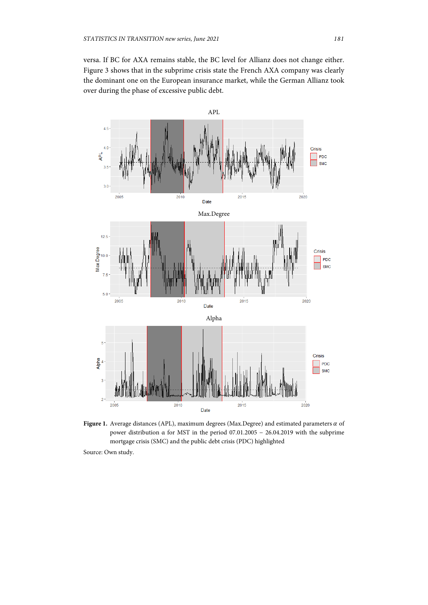versa. If BC for AXA remains stable, the BC level for Allianz does not change either. Figure 3 shows that in the subprime crisis state the French AXA company was clearly the dominant one on the European insurance market, while the German Allianz took over during the phase of excessive public debt.



Figure 1. Average distances (APL), maximum degrees (Max.Degree) and estimated parameters  $\alpha$  of power distribution α for MST in the period 07.01.2005 − 26.04.2019 with the subprime mortgage crisis (SMC) and the public debt crisis (PDC) highlighted

Source: Own study.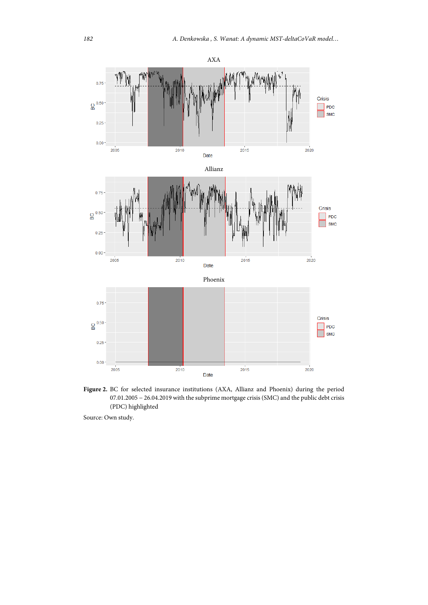

Figure 2. BC for selected insurance institutions (AXA, Allianz and Phoenix) during the period 07.01.2005 − 26.04.2019 with the subprime mortgage crisis (SMC) and the public debt crisis (PDC) highlighted

Source: Own study.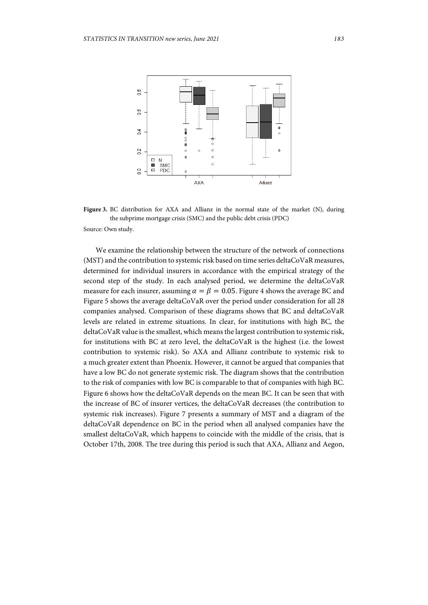

Figure 3. BC distribution for AXA and Allianz in the normal state of the market (N), during the subprime mortgage crisis (SMC) and the public debt crisis (PDC) Source: Own study.

We examine the relationship between the structure of the network of connections (MST) and the contribution to systemic risk based on time series deltaCoVaR measures, determined for individual insurers in accordance with the empirical strategy of the second step of the study. In each analysed period, we determine the deltaCoVaR measure for each insurer, assuming  $\alpha = \beta = 0.05$ . Figure 4 shows the average BC and Figure 5 shows the average deltaCoVaR over the period under consideration for all 28 companies analysed. Comparison of these diagrams shows that BC and deltaCoVaR levels are related in extreme situations. In clear, for institutions with high BC, the deltaCoVaR value is the smallest, which means the largest contribution to systemic risk, for institutions with BC at zero level, the deltaCoVaR is the highest (i.e. the lowest contribution to systemic risk). So AXA and Allianz contribute to systemic risk to a much greater extent than Phoenix. However, it cannot be argued that companies that have a low BC do not generate systemic risk. The diagram shows that the contribution to the risk of companies with low BC is comparable to that of companies with high BC. Figure 6 shows how the deltaCoVaR depends on the mean BC. It can be seen that with the increase of BC of insurer vertices, the deltaCoVaR decreases (the contribution to systemic risk increases). Figure 7 presents a summary of MST and a diagram of the deltaCoVaR dependence on BC in the period when all analysed companies have the smallest deltaCoVaR, which happens to coincide with the middle of the crisis, that is October 17th, 2008. The tree during this period is such that AXA, Allianz and Aegon,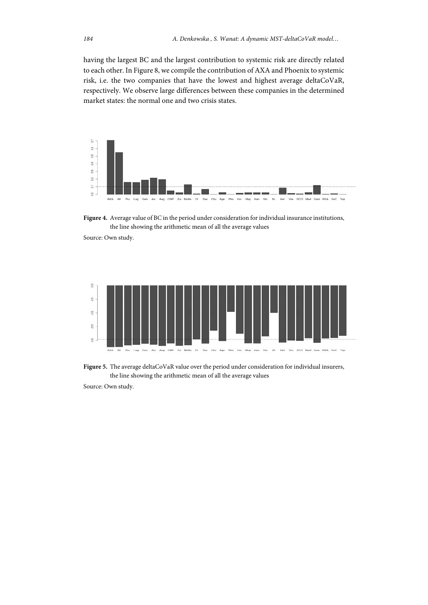having the largest BC and the largest contribution to systemic risk are directly related to each other. In Figure 8, we compile the contribution of AXA and Phoenix to systemic risk, i.e. the two companies that have the lowest and highest average deltaCoVaR, respectively. We observe large differences between these companies in the determined market states: the normal one and two crisis states.



**Figure 4.** Average value of BC in the period under consideration for individual insurance institutions, the line showing the arithmetic mean of all the average values

Source: Own study.



**Figure 5.** The average deltaCoVaR value over the period under consideration for individual insurers, the line showing the arithmetic mean of all the average values

Source: Own study.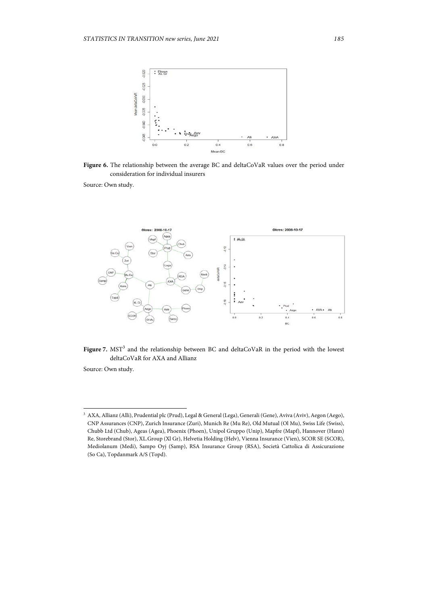

**Figure 6.** The relationship between the average BC and deltaCoVaR values over the period under consideration for individual insurers

Source: Own study.





Source: Own study.

l

<sup>3</sup> AXA, Allianz (Alli), Prudential plc (Prud), Legal & General (Lega), Generali (Gene), Aviva (Aviv), Aegon (Aego), CNP Assurances (CNP), Zurich Insurance (Zuri), Munich Re (Mu Re), Old Mutual (Ol Mu), Swiss Life (Swiss), Chubb Ltd (Chub), Ageas (Agea), Phoenix (Phoen), Unipol Gruppo (Unip), Mapfre (Mapf), Hannover (Hann) Re, Storebrand (Stor), XL.Group (Xl Gr), Helvetia Holding (Helv), Vienna Insurance (Vien), SCOR SE (SCOR), Mediolanum (Medi), Sampo Oyj (Samp), RSA Insurance Group (RSA), Società Cattolica di Assicurazione (So Ca), Topdanmark A/S (Topd).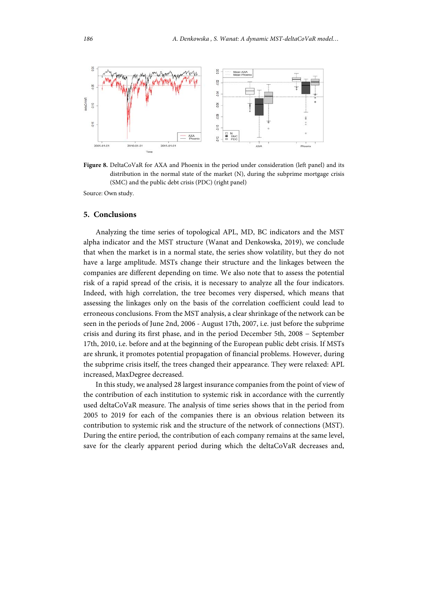

**Figure 8.** DeltaCoVaR for AXA and Phoenix in the period under consideration (left panel) and its distribution in the normal state of the market (N), during the subprime mortgage crisis (SMC) and the public debt crisis (PDC) (right panel)

Source: Own study.

#### **5. Conclusions**

Analyzing the time series of topological APL, MD, BC indicators and the MST alpha indicator and the MST structure (Wanat and Denkowska, 2019), we conclude that when the market is in a normal state, the series show volatility, but they do not have a large amplitude. MSTs change their structure and the linkages between the companies are different depending on time. We also note that to assess the potential risk of a rapid spread of the crisis, it is necessary to analyze all the four indicators. Indeed, with high correlation, the tree becomes very dispersed, which means that assessing the linkages only on the basis of the correlation coefficient could lead to erroneous conclusions. From the MST analysis, a clear shrinkage of the network can be seen in the periods of June 2nd, 2006 - August 17th, 2007, i.e. just before the subprime crisis and during its first phase, and in the period December 5th, 2008 − September 17th, 2010, i.e. before and at the beginning of the European public debt crisis. If MSTs are shrunk, it promotes potential propagation of financial problems. However, during the subprime crisis itself, the trees changed their appearance. They were relaxed: APL increased, MaxDegree decreased.

In this study, we analysed 28 largest insurance companies from the point of view of the contribution of each institution to systemic risk in accordance with the currently used deltaCoVaR measure. The analysis of time series shows that in the period from 2005 to 2019 for each of the companies there is an obvious relation between its contribution to systemic risk and the structure of the network of connections (MST). During the entire period, the contribution of each company remains at the same level, save for the clearly apparent period during which the deltaCoVaR decreases and,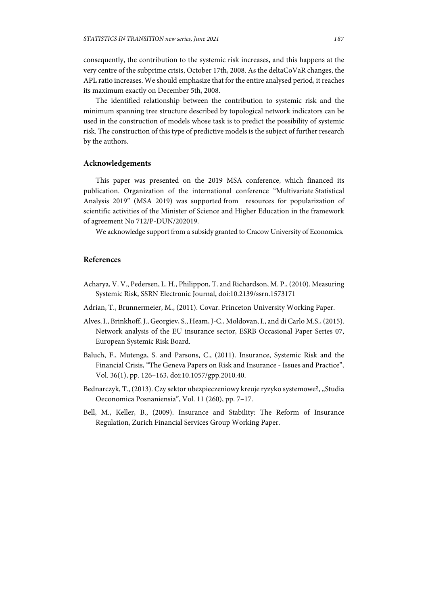consequently, the contribution to the systemic risk increases, and this happens at the very centre of the subprime crisis, October 17th, 2008. As the deltaCoVaR changes, the APL ratio increases. We should emphasize that for the entire analysed period, it reaches its maximum exactly on December 5th, 2008.

The identified relationship between the contribution to systemic risk and the minimum spanning tree structure described by topological network indicators can be used in the construction of models whose task is to predict the possibility of systemic risk. The construction of this type of predictive models is the subject of further research by the authors.

## **Acknowledgements**

This paper was presented on the 2019 MSA conference, which financed its publication. Organization of the international conference "Multivariate Statistical Analysis 2019" (MSA 2019) was supported from resources for popularization of scientific activities of the Minister of Science and Higher Education in the framework of agreement No 712/P-DUN/202019.

We acknowledge support from a subsidy granted to Cracow University of Economics.

### **References**

- Acharya, V. V., Pedersen, L. H., Philippon, T. and Richardson, M. P., (2010). Measuring Systemic Risk, SSRN Electronic Journal, doi:10.2139/ssrn.1573171
- Adrian, T., Brunnermeier, M., (2011). Covar. Princeton University Working Paper.
- Alves, I., Brinkhoff, J., Georgiev, S., Heam, J-C., Moldovan, I., and di Carlo M.S., (2015). Network analysis of the EU insurance sector, ESRB Occasional Paper Series 07, European Systemic Risk Board.
- Baluch, F., Mutenga, S. and Parsons, C., (2011). Insurance, Systemic Risk and the Financial Crisis, "The Geneva Papers on Risk and Insurance - Issues and Practice"*,*  Vol. 36(1), pp. 126–163, doi:10.1057/gpp.2010.40.
- Bednarczyk, T., (2013). Czy sektor ubezpieczeniowy kreuje ryzyko systemowe?, "Studia Oeconomica Posnaniensia", Vol. 11 (260), pp. 7–17.
- Bell, M., Keller, B., (2009). Insurance and Stability: The Reform of Insurance Regulation, Zurich Financial Services Group Working Paper.